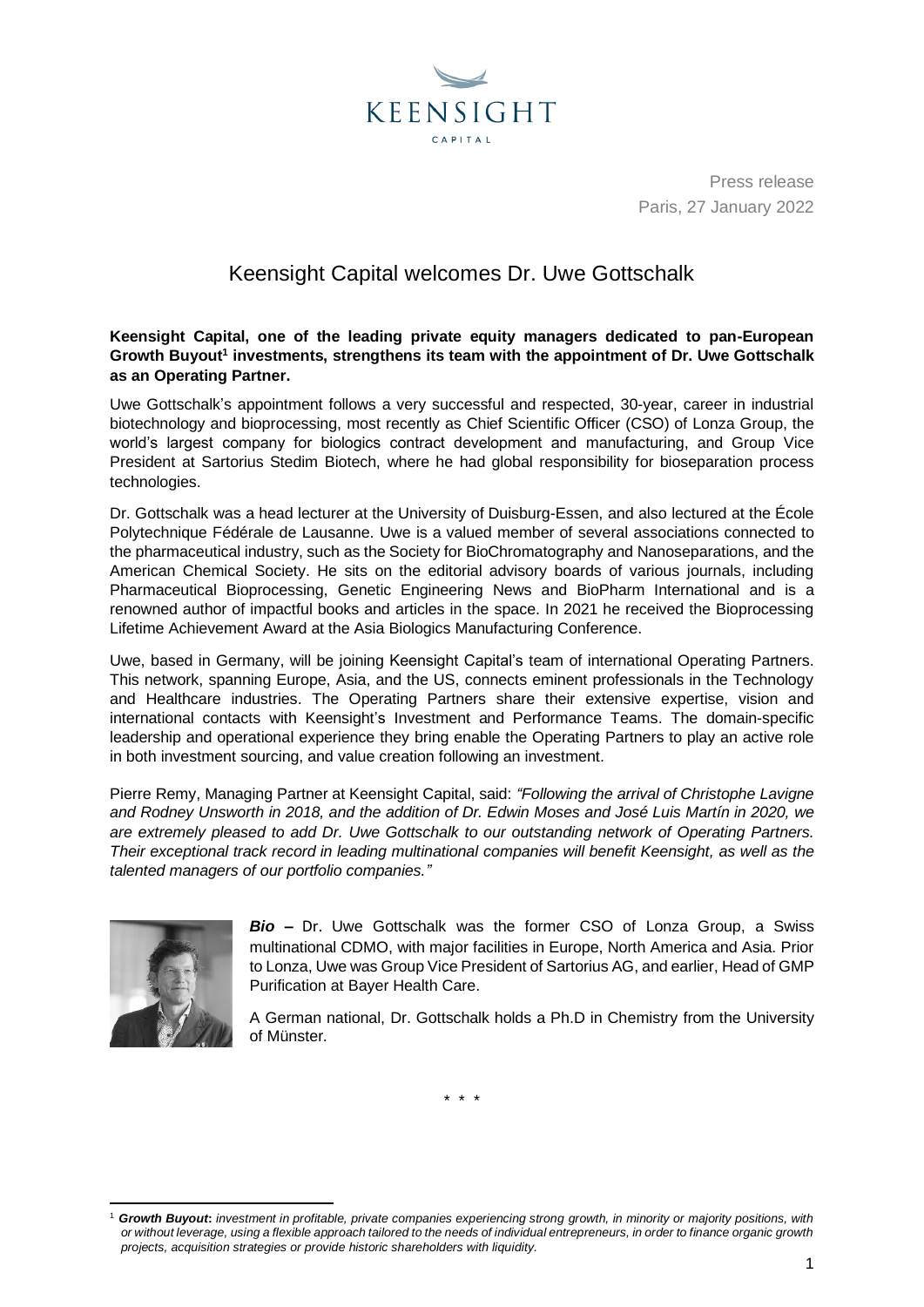

Press release Paris, 27 January 2022

## Keensight Capital welcomes Dr. Uwe Gottschalk

**Keensight Capital, one of the leading private equity managers dedicated to pan-European Growth Buyout<sup>1</sup> investments, strengthens its team with the appointment of Dr. Uwe Gottschalk as an Operating Partner.**

Uwe Gottschalk's appointment follows a very successful and respected, 30-year, career in industrial biotechnology and bioprocessing, most recently as Chief Scientific Officer (CSO) of Lonza Group, the world's largest company for biologics contract development and manufacturing, and Group Vice President at Sartorius Stedim Biotech, where he had global responsibility for bioseparation process technologies.

Dr. Gottschalk was a head lecturer at the University of Duisburg-Essen, and also lectured at the École Polytechnique Fédérale de Lausanne. Uwe is a valued member of several associations connected to the pharmaceutical industry, such as the Society for BioChromatography and Nanoseparations, and the American Chemical Society. He sits on the editorial advisory boards of various journals, including Pharmaceutical Bioprocessing, Genetic Engineering News and BioPharm International and is a renowned author of impactful books and articles in the space. In 2021 he received the Bioprocessing Lifetime Achievement Award at the Asia Biologics Manufacturing Conference.

Uwe, based in Germany, will be joining Keensight Capital's team of international Operating Partners. This network, spanning Europe, Asia, and the US, connects eminent professionals in the Technology and Healthcare industries. The Operating Partners share their extensive expertise, vision and international contacts with Keensight's Investment and Performance Teams. The domain-specific leadership and operational experience they bring enable the Operating Partners to play an active role in both investment sourcing, and value creation following an investment.

Pierre Remy, Managing Partner at Keensight Capital, said: *"Following the arrival of Christophe Lavigne and Rodney Unsworth in 2018, and the addition of Dr. Edwin Moses and José Luis Martín in 2020, we are extremely pleased to add Dr. Uwe Gottschalk to our outstanding network of Operating Partners. Their exceptional track record in leading multinational companies will benefit Keensight, as well as the talented managers of our portfolio companies."*



*Bio –* Dr. Uwe Gottschalk was the former CSO of Lonza Group, a Swiss multinational CDMO, with major facilities in Europe, North America and Asia. Prior to Lonza, Uwe was Group Vice President of Sartorius AG, and earlier, Head of GMP Purification at Bayer Health Care.

A German national, Dr. Gottschalk holds a Ph.D in Chemistry from the University of Münster.

\* \* \*

<sup>1</sup> *Growth Buyout***:** *investment in profitable, private companies experiencing strong growth, in minority or majority positions, with or without leverage, using a flexible approach tailored to the needs of individual entrepreneurs, in order to finance organic growth projects, acquisition strategies or provide historic shareholders with liquidity.*